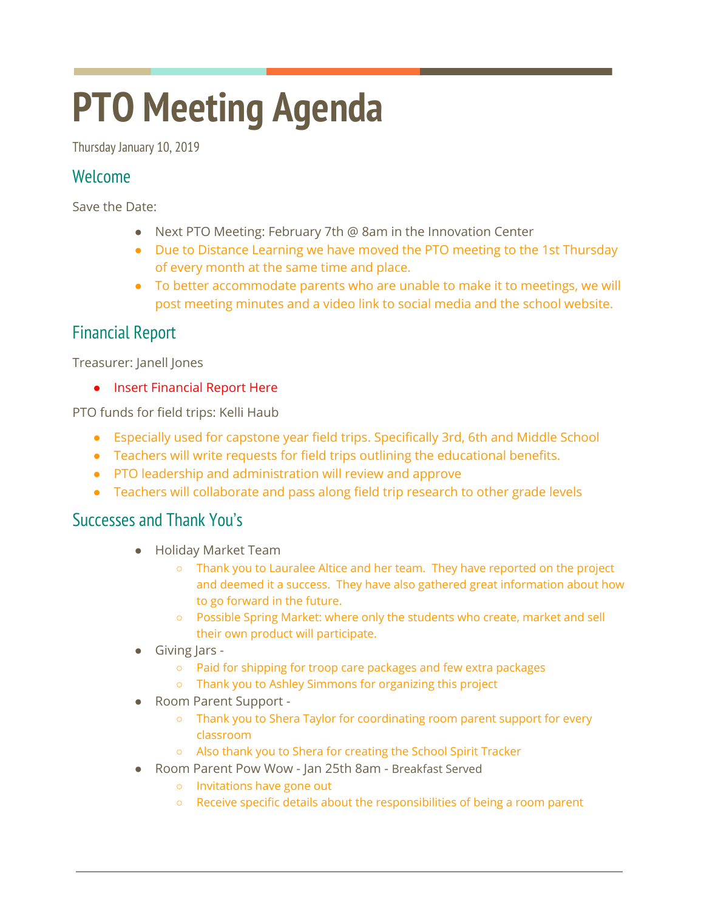# **PTO Meeting Agenda**

Thursday January 10, 2019

# Welcome

Save the Date:

- Next PTO Meeting: February 7th @ 8am in the Innovation Center
- Due to Distance Learning we have moved the PTO meeting to the 1st Thursday of every month at the same time and place.
- To better accommodate parents who are unable to make it to meetings, we will post meeting minutes and a video link to social media and the school website.

# Financial Report

Treasurer: Janell Jones

● Insert Financial Report Here

PTO funds for field trips: Kelli Haub

- Especially used for capstone year field trips. Specifically 3rd, 6th and Middle School
- Teachers will write requests for field trips outlining the educational benefits.
- PTO leadership and administration will review and approve
- Teachers will collaborate and pass along field trip research to other grade levels

# Successes and Thank You's

- Holiday Market Team
	- Thank you to Lauralee Altice and her team. They have reported on the project and deemed it a success. They have also gathered great information about how to go forward in the future.
	- Possible Spring Market: where only the students who create, market and sell their own product will participate.
- Giving Jars -
	- Paid for shipping for troop care packages and few extra packages
	- Thank you to Ashley Simmons for organizing this project
- Room Parent Support -
	- Thank you to Shera Taylor for coordinating room parent support for every classroom
	- Also thank you to Shera for creating the School Spirit Tracker
- Room Parent Pow Wow Jan 25th 8am Breakfast Served
	- Invitations have gone out
	- Receive specific details about the responsibilities of being a room parent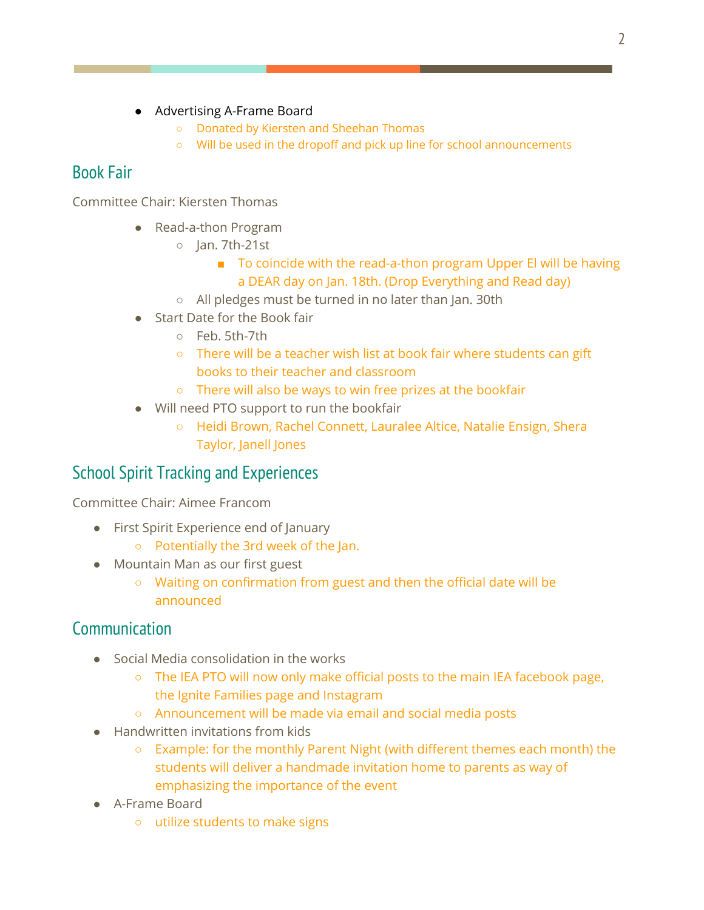- Advertising A-Frame Board
	- Donated by Kiersten and Sheehan Thomas
	- Will be used in the dropoff and pick up line for school announcements

# Book Fair

Committee Chair: Kiersten Thomas

- Read-a-thon Program
	- Jan. 7th-21st
		- To coincide with the read-a-thon program Upper El will be having a DEAR day on Jan. 18th. (Drop Everything and Read day)
	- All pledges must be turned in no later than Jan. 30th
- Start Date for the Book fair
	- Feb. 5th-7th
	- There will be a teacher wish list at book fair where students can gift books to their teacher and classroom
	- There will also be ways to win free prizes at the bookfair
- Will need PTO support to run the bookfair
	- Heidi Brown, Rachel Connett, Lauralee Altice, Natalie Ensign, Shera Taylor, Janell Jones

# School Spirit Tracking and Experiences

Committee Chair: Aimee Francom

- First Spirit Experience end of January
	- Potentially the 3rd week of the Jan.
- Mountain Man as our first guest
	- Waiting on confirmation from guest and then the official date will be announced

# **Communication**

- **Social Media consolidation in the works** 
	- The IEA PTO will now only make official posts to the main IEA facebook page, the Ignite Families page and Instagram
	- Announcement will be made via email and social media posts
- **Handwritten invitations from kids** 
	- Example: for the monthly Parent Night (with different themes each month) the students will deliver a handmade invitation home to parents as way of emphasizing the importance of the event
- A-Frame Board
	- utilize students to make signs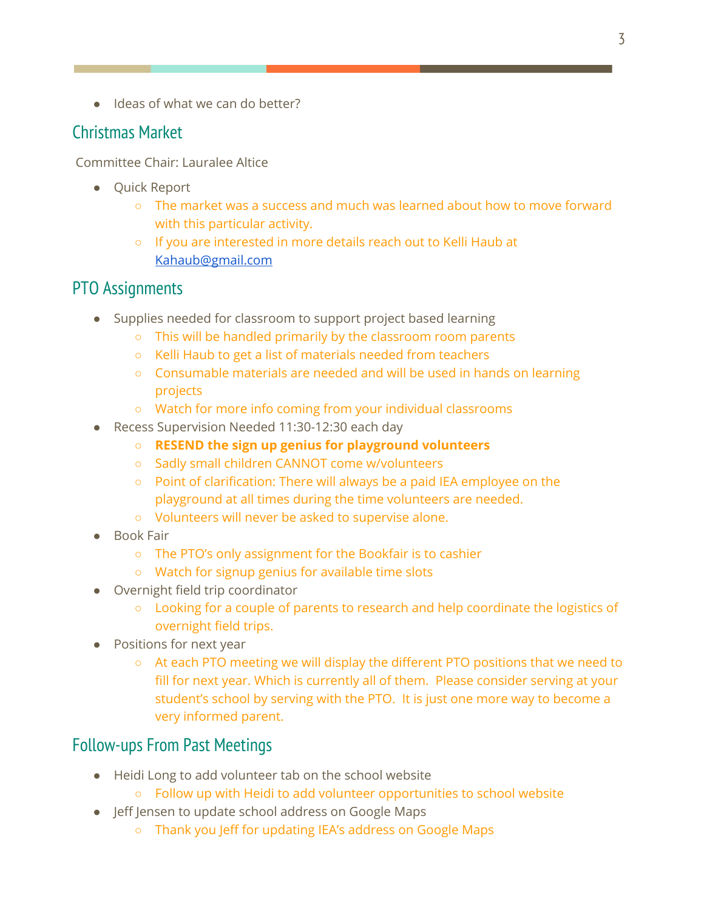● Ideas of what we can do better?

# Christmas Market

Committee Chair: Lauralee Altice

- Quick Report
	- The market was a success and much was learned about how to move forward with this particular activity.
	- If you are interested in more details reach out to Kelli Haub at [Kahaub@gmail.com](mailto:Kahaub@gmail.com)

#### PTO Assignments

- Supplies needed for classroom to support project based learning
	- This will be handled primarily by the classroom room parents
	- Kelli Haub to get a list of materials needed from teachers
	- Consumable materials are needed and will be used in hands on learning projects
	- Watch for more info coming from your individual classrooms
- Recess Supervision Needed 11:30-12:30 each day
	- **○ RESEND the sign up genius for playground volunteers**
	- Sadly small children CANNOT come w/volunteers
	- Point of clarification: There will always be a paid IEA employee on the playground at all times during the time volunteers are needed.
	- Volunteers will never be asked to supervise alone.
- **Book Fair** 
	- The PTO's only assignment for the Bookfair is to cashier
	- Watch for signup genius for available time slots
- Overnight field trip coordinator
	- Looking for a couple of parents to research and help coordinate the logistics of overnight field trips.
- Positions for next year
	- At each PTO meeting we will display the different PTO positions that we need to fill for next year. Which is currently all of them. Please consider serving at your student's school by serving with the PTO. It is just one more way to become a very informed parent.

#### Follow-ups From Past Meetings

- Heidi Long to add volunteer tab on the school website
	- Follow up with Heidi to add volunteer opportunities to school website
- Jeff Jensen to update school address on Google Maps
	- Thank you Jeff for updating IEA's address on Google Maps